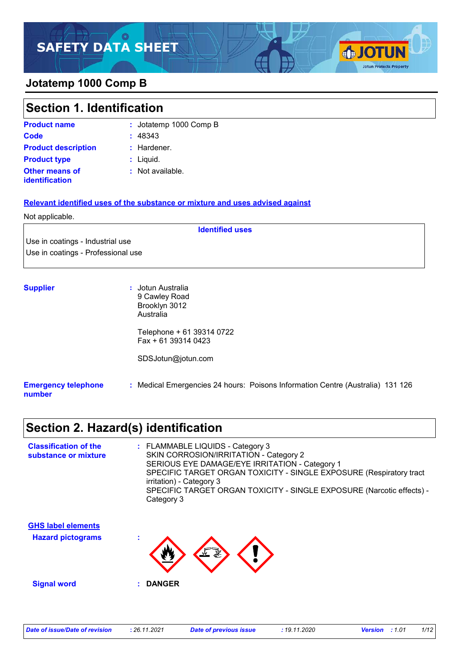### **Jotatemp 1000 Comp B**

| Section 1. Identification               |                        |  |
|-----------------------------------------|------------------------|--|
| <b>Product name</b>                     | : Jotatemp 1000 Comp B |  |
| <b>Code</b>                             | : 48343                |  |
| <b>Product description</b>              | : Hardener.            |  |
| <b>Product type</b>                     | Liquid.                |  |
| <b>Other means of</b><br>identification | Not available.<br>÷.   |  |

#### **Relevant identified uses of the substance or mixture and uses advised against**

#### Not applicable.

Use in coatings - Industrial use Use in coatings - Professional use

| <b>Supplier</b>                      | : Jotun Australia<br>9 Cawley Road<br>Brooklyn 3012<br>Australia               |
|--------------------------------------|--------------------------------------------------------------------------------|
|                                      | Telephone + 61 39314 0722<br>$Fax + 61 39314 0423$                             |
|                                      | SDSJotun@jotun.com                                                             |
| <b>Emergency telephone</b><br>number | : Medical Emergencies 24 hours: Poisons Information Centre (Australia) 131 126 |

**Identified uses**

## **Section 2. Hazard(s) identification**

| <b>Classification of the</b><br>substance or mixture | : FLAMMABLE LIQUIDS - Category 3<br>SKIN CORROSION/IRRITATION - Category 2<br>SERIOUS EYE DAMAGE/EYE IRRITATION - Category 1 |
|------------------------------------------------------|------------------------------------------------------------------------------------------------------------------------------|
|                                                      | SPECIFIC TARGET ORGAN TOXICITY - SINGLE EXPOSURE (Respiratory tract<br>irritation) - Category 3                              |
|                                                      | SPECIFIC TARGET ORGAN TOXICITY - SINGLE EXPOSURE (Narcotic effects) -<br>Category 3                                          |
| <b>GHS label elements</b>                            |                                                                                                                              |
| <b>Hazard pictograms</b>                             | $\mathbf{v}$                                                                                                                 |
| <b>Signal word</b>                                   | <b>DANGER</b>                                                                                                                |

**SJOTUN** 

**Jotun Protects Property**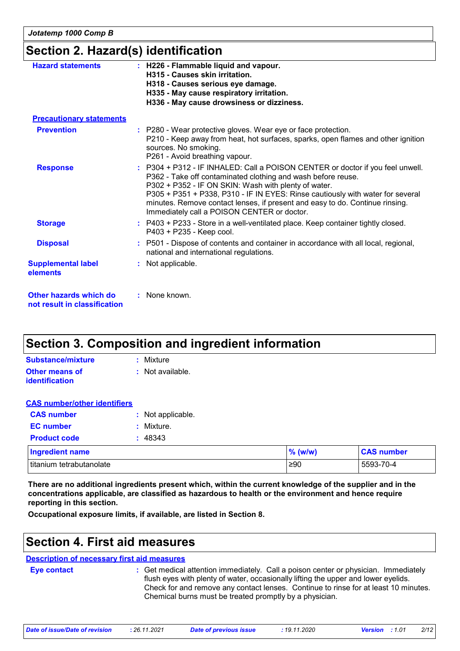*Jotatemp 1000 Comp B*

### **Section 2. Hazard(s) identification**

| <b>Hazard statements</b>                               | : H226 - Flammable liquid and vapour.<br>H315 - Causes skin irritation.<br>H318 - Causes serious eye damage.<br>H335 - May cause respiratory irritation.<br>H336 - May cause drowsiness or dizziness.                                                                                                                                                                                                                   |  |  |  |
|--------------------------------------------------------|-------------------------------------------------------------------------------------------------------------------------------------------------------------------------------------------------------------------------------------------------------------------------------------------------------------------------------------------------------------------------------------------------------------------------|--|--|--|
| <b>Precautionary statements</b>                        |                                                                                                                                                                                                                                                                                                                                                                                                                         |  |  |  |
| <b>Prevention</b>                                      | : P280 - Wear protective gloves. Wear eye or face protection.<br>P210 - Keep away from heat, hot surfaces, sparks, open flames and other ignition<br>sources. No smoking.<br>P261 - Avoid breathing vapour.                                                                                                                                                                                                             |  |  |  |
| <b>Response</b>                                        | : P304 + P312 - IF INHALED: Call a POISON CENTER or doctor if you feel unwell.<br>P362 - Take off contaminated clothing and wash before reuse.<br>P302 + P352 - IF ON SKIN: Wash with plenty of water.<br>P305 + P351 + P338, P310 - IF IN EYES: Rinse cautiously with water for several<br>minutes. Remove contact lenses, if present and easy to do. Continue rinsing.<br>Immediately call a POISON CENTER or doctor. |  |  |  |
| <b>Storage</b>                                         | : P403 + P233 - Store in a well-ventilated place. Keep container tightly closed.<br>P403 + P235 - Keep cool.                                                                                                                                                                                                                                                                                                            |  |  |  |
| <b>Disposal</b>                                        | : P501 - Dispose of contents and container in accordance with all local, regional,<br>national and international regulations.                                                                                                                                                                                                                                                                                           |  |  |  |
| <b>Supplemental label</b><br>elements                  | : Not applicable.                                                                                                                                                                                                                                                                                                                                                                                                       |  |  |  |
| Other hazards which do<br>not result in classification | : None known.                                                                                                                                                                                                                                                                                                                                                                                                           |  |  |  |

## **Section 3. Composition and ingredient information**

| Substance/mixture     | : Mixture        |
|-----------------------|------------------|
| <b>Other means of</b> | : Not available. |
| <b>identification</b> |                  |

#### **CAS number/other identifiers**

| <b>CAS number</b>                           | : Not applicable. |
|---------------------------------------------|-------------------|
| <b>EC</b> number                            | : Mixture.        |
| <b>Product code</b>                         | : 48343           |
| <b>Ingredient name</b>                      |                   |
| المقمالم مرمقان بمالمعتقلة المعاريات متعقلة |                   |

| <b>Ingredient name</b>   | $(\mathsf{w}/\mathsf{w})$ | <b>CAS number</b> |
|--------------------------|---------------------------|-------------------|
| titanium tetrabutanolate | ≥90                       | 5593-70-4         |

**There are no additional ingredients present which, within the current knowledge of the supplier and in the concentrations applicable, are classified as hazardous to health or the environment and hence require reporting in this section.**

**Occupational exposure limits, if available, are listed in Section 8.**

### **Section 4. First aid measures**

#### **Description of necessary first aid measures**

**Eye contact :**

: Get medical attention immediately. Call a poison center or physician. Immediately flush eyes with plenty of water, occasionally lifting the upper and lower eyelids. Check for and remove any contact lenses. Continue to rinse for at least 10 minutes. Chemical burns must be treated promptly by a physician.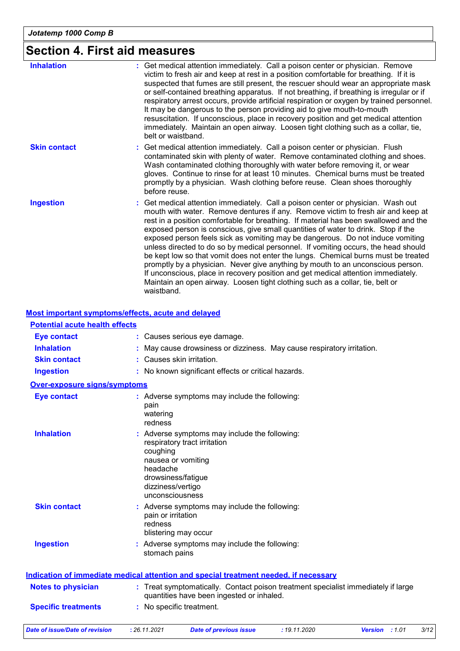# **Section 4. First aid measures**

**Most important symptoms/effects, acute and delayed**

| <b>Inhalation</b>   | Get medical attention immediately. Call a poison center or physician. Remove<br>victim to fresh air and keep at rest in a position comfortable for breathing. If it is<br>suspected that fumes are still present, the rescuer should wear an appropriate mask<br>or self-contained breathing apparatus. If not breathing, if breathing is irregular or if<br>respiratory arrest occurs, provide artificial respiration or oxygen by trained personnel.<br>It may be dangerous to the person providing aid to give mouth-to-mouth<br>resuscitation. If unconscious, place in recovery position and get medical attention<br>immediately. Maintain an open airway. Loosen tight clothing such as a collar, tie,<br>belt or waistband.                                                                                                                                                  |
|---------------------|--------------------------------------------------------------------------------------------------------------------------------------------------------------------------------------------------------------------------------------------------------------------------------------------------------------------------------------------------------------------------------------------------------------------------------------------------------------------------------------------------------------------------------------------------------------------------------------------------------------------------------------------------------------------------------------------------------------------------------------------------------------------------------------------------------------------------------------------------------------------------------------|
| <b>Skin contact</b> | Get medical attention immediately. Call a poison center or physician. Flush<br>÷.<br>contaminated skin with plenty of water. Remove contaminated clothing and shoes.<br>Wash contaminated clothing thoroughly with water before removing it, or wear<br>gloves. Continue to rinse for at least 10 minutes. Chemical burns must be treated<br>promptly by a physician. Wash clothing before reuse. Clean shoes thoroughly<br>before reuse.                                                                                                                                                                                                                                                                                                                                                                                                                                            |
| <b>Ingestion</b>    | Get medical attention immediately. Call a poison center or physician. Wash out<br>mouth with water. Remove dentures if any. Remove victim to fresh air and keep at<br>rest in a position comfortable for breathing. If material has been swallowed and the<br>exposed person is conscious, give small quantities of water to drink. Stop if the<br>exposed person feels sick as vomiting may be dangerous. Do not induce vomiting<br>unless directed to do so by medical personnel. If vomiting occurs, the head should<br>be kept low so that vomit does not enter the lungs. Chemical burns must be treated<br>promptly by a physician. Never give anything by mouth to an unconscious person.<br>If unconscious, place in recovery position and get medical attention immediately.<br>Maintain an open airway. Loosen tight clothing such as a collar, tie, belt or<br>waistband. |

| : Treat symptomatically. Contact poison treatment specialist immediately if large |
|-----------------------------------------------------------------------------------|
|                                                                                   |
|                                                                                   |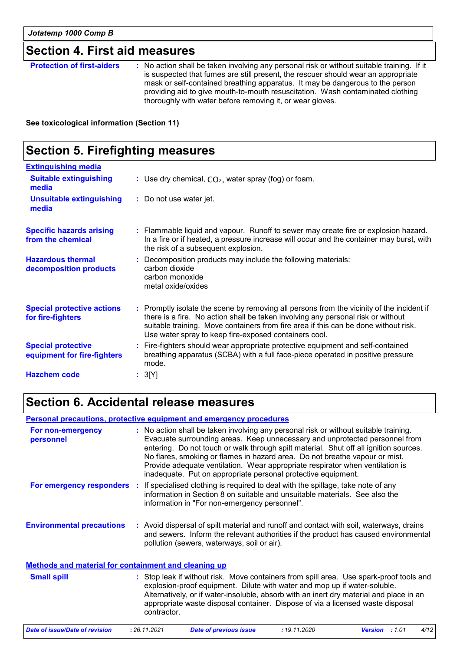### **Section 4. First aid measures**

**Protection of first-aiders** : No action shall be taken involving any personal risk or without suitable training. If it is suspected that fumes are still present, the rescuer should wear an appropriate mask or self-contained breathing apparatus. It may be dangerous to the person providing aid to give mouth-to-mouth resuscitation. Wash contaminated clothing thoroughly with water before removing it, or wear gloves.

**See toxicological information (Section 11)**

## **Section 5. Firefighting measures**

| <b>Extinguishing media</b>                               |                                                                                                                                                                                                                                                                                                                               |
|----------------------------------------------------------|-------------------------------------------------------------------------------------------------------------------------------------------------------------------------------------------------------------------------------------------------------------------------------------------------------------------------------|
| <b>Suitable extinguishing</b><br>media                   | : Use dry chemical, $CO2$ , water spray (fog) or foam.                                                                                                                                                                                                                                                                        |
| <b>Unsuitable extinguishing</b><br>media                 | : Do not use water jet.                                                                                                                                                                                                                                                                                                       |
| <b>Specific hazards arising</b><br>from the chemical     | : Flammable liquid and vapour. Runoff to sewer may create fire or explosion hazard.<br>In a fire or if heated, a pressure increase will occur and the container may burst, with<br>the risk of a subsequent explosion.                                                                                                        |
| <b>Hazardous thermal</b><br>decomposition products       | : Decomposition products may include the following materials:<br>carbon dioxide<br>carbon monoxide<br>metal oxide/oxides                                                                                                                                                                                                      |
| <b>Special protective actions</b><br>for fire-fighters   | : Promptly isolate the scene by removing all persons from the vicinity of the incident if<br>there is a fire. No action shall be taken involving any personal risk or without<br>suitable training. Move containers from fire area if this can be done without risk.<br>Use water spray to keep fire-exposed containers cool. |
| <b>Special protective</b><br>equipment for fire-fighters | : Fire-fighters should wear appropriate protective equipment and self-contained<br>breathing apparatus (SCBA) with a full face-piece operated in positive pressure<br>mode.                                                                                                                                                   |
| <b>Hazchem code</b>                                      | : 3[Y]                                                                                                                                                                                                                                                                                                                        |

### **Section 6. Accidental release measures**

#### **Environmental precautions Personal precautions, protective equipment and emergency procedures :** Avoid dispersal of spilt material and runoff and contact with soil, waterways, drains **:** No action shall be taken involving any personal risk or without suitable training. Evacuate surrounding areas. Keep unnecessary and unprotected personnel from entering. Do not touch or walk through spilt material. Shut off all ignition sources. No flares, smoking or flames in hazard area. Do not breathe vapour or mist. Provide adequate ventilation. Wear appropriate respirator when ventilation is inadequate. Put on appropriate personal protective equipment. and sewers. Inform the relevant authorities if the product has caused environmental pollution (sewers, waterways, soil or air). **Methods and material for containment and cleaning up For non-emergency personnel For emergency responders :** If specialised clothing is required to deal with the spillage, take note of any information in Section 8 on suitable and unsuitable materials. See also the information in "For non-emergency personnel".

| <b>Small spill</b><br>contractor. | : Stop leak if without risk. Move containers from spill area. Use spark-proof tools and<br>explosion-proof equipment. Dilute with water and mop up if water-soluble.<br>Alternatively, or if water-insoluble, absorb with an inert dry material and place in an<br>appropriate waste disposal container. Dispose of via a licensed waste disposal |
|-----------------------------------|---------------------------------------------------------------------------------------------------------------------------------------------------------------------------------------------------------------------------------------------------------------------------------------------------------------------------------------------------|
|-----------------------------------|---------------------------------------------------------------------------------------------------------------------------------------------------------------------------------------------------------------------------------------------------------------------------------------------------------------------------------------------------|

| 4/12 | Date of issue/Date of revision | : 26.11.2021 | Date of previous issue | : 19.11.2020 | <b>Version</b> : 1.01 |
|------|--------------------------------|--------------|------------------------|--------------|-----------------------|
|------|--------------------------------|--------------|------------------------|--------------|-----------------------|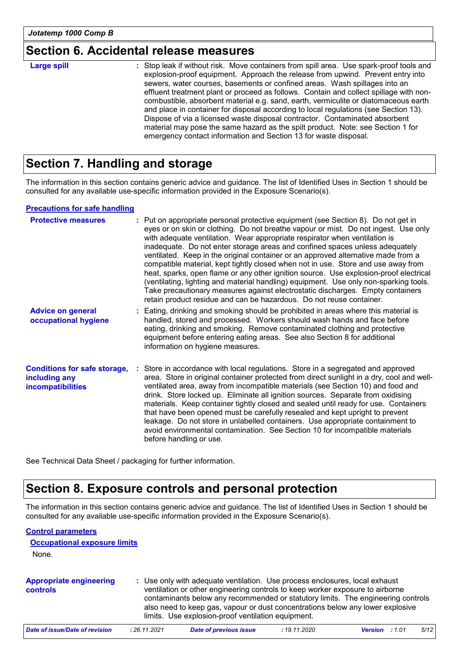### **Section 6. Accidental release measures**

| : Stop leak if without risk. Move containers from spill area. Use spark-proof tools and<br><b>Large spill</b><br>explosion-proof equipment. Approach the release from upwind. Prevent entry into<br>sewers, water courses, basements or confined areas. Wash spillages into an<br>effluent treatment plant or proceed as follows. Contain and collect spillage with non-<br>combustible, absorbent material e.g. sand, earth, vermiculite or diatomaceous earth<br>and place in container for disposal according to local regulations (see Section 13).<br>Dispose of via a licensed waste disposal contractor. Contaminated absorbent<br>material may pose the same hazard as the spilt product. Note: see Section 1 for<br>emergency contact information and Section 13 for waste disposal. |
|-----------------------------------------------------------------------------------------------------------------------------------------------------------------------------------------------------------------------------------------------------------------------------------------------------------------------------------------------------------------------------------------------------------------------------------------------------------------------------------------------------------------------------------------------------------------------------------------------------------------------------------------------------------------------------------------------------------------------------------------------------------------------------------------------|
|                                                                                                                                                                                                                                                                                                                                                                                                                                                                                                                                                                                                                                                                                                                                                                                               |

## **Section 7. Handling and storage**

The information in this section contains generic advice and guidance. The list of Identified Uses in Section 1 should be consulted for any available use-specific information provided in the Exposure Scenario(s).

#### **Precautions for safe handling**

| <b>Protective measures</b>                                                       | : Put on appropriate personal protective equipment (see Section 8). Do not get in<br>eyes or on skin or clothing. Do not breathe vapour or mist. Do not ingest. Use only<br>with adequate ventilation. Wear appropriate respirator when ventilation is<br>inadequate. Do not enter storage areas and confined spaces unless adequately<br>ventilated. Keep in the original container or an approved alternative made from a<br>compatible material, kept tightly closed when not in use. Store and use away from<br>heat, sparks, open flame or any other ignition source. Use explosion-proof electrical<br>(ventilating, lighting and material handling) equipment. Use only non-sparking tools.<br>Take precautionary measures against electrostatic discharges. Empty containers<br>retain product residue and can be hazardous. Do not reuse container. |
|----------------------------------------------------------------------------------|--------------------------------------------------------------------------------------------------------------------------------------------------------------------------------------------------------------------------------------------------------------------------------------------------------------------------------------------------------------------------------------------------------------------------------------------------------------------------------------------------------------------------------------------------------------------------------------------------------------------------------------------------------------------------------------------------------------------------------------------------------------------------------------------------------------------------------------------------------------|
| <b>Advice on general</b><br>occupational hygiene                                 | : Eating, drinking and smoking should be prohibited in areas where this material is<br>handled, stored and processed. Workers should wash hands and face before<br>eating, drinking and smoking. Remove contaminated clothing and protective<br>equipment before entering eating areas. See also Section 8 for additional<br>information on hygiene measures.                                                                                                                                                                                                                                                                                                                                                                                                                                                                                                |
| <b>Conditions for safe storage,</b><br>including any<br><b>incompatibilities</b> | : Store in accordance with local regulations. Store in a segregated and approved<br>area. Store in original container protected from direct sunlight in a dry, cool and well-<br>ventilated area, away from incompatible materials (see Section 10) and food and<br>drink. Store locked up. Eliminate all ignition sources. Separate from oxidising<br>materials. Keep container tightly closed and sealed until ready for use. Containers<br>that have been opened must be carefully resealed and kept upright to prevent<br>leakage. Do not store in unlabelled containers. Use appropriate containment to<br>avoid environmental contamination. See Section 10 for incompatible materials<br>before handling or use.                                                                                                                                      |

See Technical Data Sheet / packaging for further information.

### **Section 8. Exposure controls and personal protection**

The information in this section contains generic advice and guidance. The list of Identified Uses in Section 1 should be consulted for any available use-specific information provided in the Exposure Scenario(s).

#### **Control parameters**

| <b>Occupational exposure limits</b>        |              |                                                                                                                                                                                                                                                                                                                                                                                          |              |                        |      |
|--------------------------------------------|--------------|------------------------------------------------------------------------------------------------------------------------------------------------------------------------------------------------------------------------------------------------------------------------------------------------------------------------------------------------------------------------------------------|--------------|------------------------|------|
| None.                                      |              |                                                                                                                                                                                                                                                                                                                                                                                          |              |                        |      |
| <b>Appropriate engineering</b><br>controls |              | : Use only with adequate ventilation. Use process enclosures, local exhaust<br>ventilation or other engineering controls to keep worker exposure to airborne<br>contaminants below any recommended or statutory limits. The engineering controls<br>also need to keep gas, vapour or dust concentrations below any lower explosive<br>limits. Use explosion-proof ventilation equipment. |              |                        |      |
| Date of issue/Date of revision             | : 26.11.2021 | <b>Date of previous issue</b>                                                                                                                                                                                                                                                                                                                                                            | : 19.11.2020 | :101<br><b>Version</b> | 5/12 |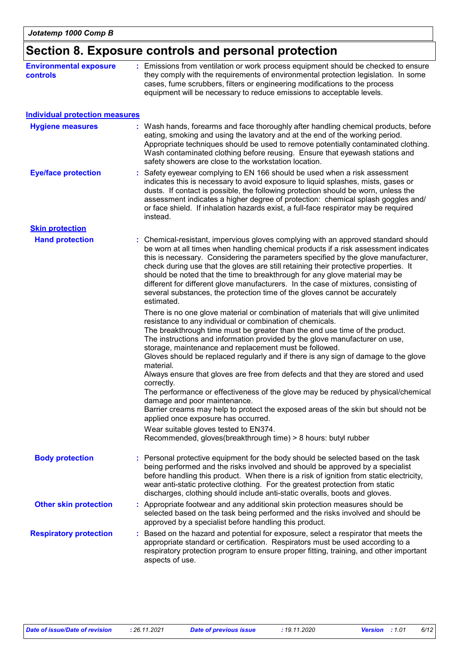|                                           | Section 8. Exposure controls and personal protection                                                                                                                                                                                                                                                                                                                                                                                                                                                                                                                                                                                                                 |
|-------------------------------------------|----------------------------------------------------------------------------------------------------------------------------------------------------------------------------------------------------------------------------------------------------------------------------------------------------------------------------------------------------------------------------------------------------------------------------------------------------------------------------------------------------------------------------------------------------------------------------------------------------------------------------------------------------------------------|
| <b>Environmental exposure</b><br>controls | : Emissions from ventilation or work process equipment should be checked to ensure<br>they comply with the requirements of environmental protection legislation. In some<br>cases, fume scrubbers, filters or engineering modifications to the process<br>equipment will be necessary to reduce emissions to acceptable levels.                                                                                                                                                                                                                                                                                                                                      |
| <b>Individual protection measures</b>     |                                                                                                                                                                                                                                                                                                                                                                                                                                                                                                                                                                                                                                                                      |
| <b>Hygiene measures</b>                   | : Wash hands, forearms and face thoroughly after handling chemical products, before<br>eating, smoking and using the lavatory and at the end of the working period.<br>Appropriate techniques should be used to remove potentially contaminated clothing.<br>Wash contaminated clothing before reusing. Ensure that eyewash stations and<br>safety showers are close to the workstation location.                                                                                                                                                                                                                                                                    |
| <b>Eye/face protection</b>                | : Safety eyewear complying to EN 166 should be used when a risk assessment<br>indicates this is necessary to avoid exposure to liquid splashes, mists, gases or<br>dusts. If contact is possible, the following protection should be worn, unless the<br>assessment indicates a higher degree of protection: chemical splash goggles and/<br>or face shield. If inhalation hazards exist, a full-face respirator may be required<br>instead.                                                                                                                                                                                                                         |
| <b>Skin protection</b>                    |                                                                                                                                                                                                                                                                                                                                                                                                                                                                                                                                                                                                                                                                      |
| <b>Hand protection</b>                    | : Chemical-resistant, impervious gloves complying with an approved standard should<br>be worn at all times when handling chemical products if a risk assessment indicates<br>this is necessary. Considering the parameters specified by the glove manufacturer,<br>check during use that the gloves are still retaining their protective properties. It<br>should be noted that the time to breakthrough for any glove material may be<br>different for different glove manufacturers. In the case of mixtures, consisting of<br>several substances, the protection time of the gloves cannot be accurately<br>estimated.                                            |
|                                           | There is no one glove material or combination of materials that will give unlimited<br>resistance to any individual or combination of chemicals.<br>The breakthrough time must be greater than the end use time of the product.<br>The instructions and information provided by the glove manufacturer on use,<br>storage, maintenance and replacement must be followed.<br>Gloves should be replaced regularly and if there is any sign of damage to the glove<br>material.<br>Always ensure that gloves are free from defects and that they are stored and used<br>correctly.<br>The performance or effectiveness of the glove may be reduced by physical/chemical |
|                                           | damage and poor maintenance.<br>Barrier creams may help to protect the exposed areas of the skin but should not be<br>applied once exposure has occurred.                                                                                                                                                                                                                                                                                                                                                                                                                                                                                                            |
|                                           | Wear suitable gloves tested to EN374.<br>Recommended, gloves(breakthrough time) > 8 hours: butyl rubber                                                                                                                                                                                                                                                                                                                                                                                                                                                                                                                                                              |
| <b>Body protection</b>                    | : Personal protective equipment for the body should be selected based on the task<br>being performed and the risks involved and should be approved by a specialist<br>before handling this product. When there is a risk of ignition from static electricity,<br>wear anti-static protective clothing. For the greatest protection from static<br>discharges, clothing should include anti-static overalls, boots and gloves.                                                                                                                                                                                                                                        |
| <b>Other skin protection</b>              | : Appropriate footwear and any additional skin protection measures should be<br>selected based on the task being performed and the risks involved and should be<br>approved by a specialist before handling this product.                                                                                                                                                                                                                                                                                                                                                                                                                                            |
| <b>Respiratory protection</b>             | : Based on the hazard and potential for exposure, select a respirator that meets the<br>appropriate standard or certification. Respirators must be used according to a<br>respiratory protection program to ensure proper fitting, training, and other important<br>aspects of use.                                                                                                                                                                                                                                                                                                                                                                                  |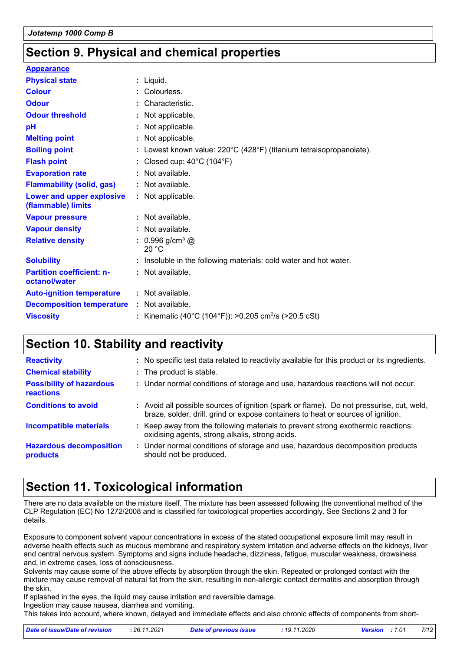## **Section 9. Physical and chemical properties**

| <b>Appearance</b>                                 |                                                                     |
|---------------------------------------------------|---------------------------------------------------------------------|
| <b>Physical state</b>                             | $:$ Liquid.                                                         |
| <b>Colour</b>                                     | Colourless.                                                         |
| <b>Odour</b>                                      | Characteristic.                                                     |
| <b>Odour threshold</b>                            | : Not applicable.                                                   |
| рH                                                | Not applicable.                                                     |
| <b>Melting point</b>                              | Not applicable.                                                     |
| <b>Boiling point</b>                              | : Lowest known value: 220°C (428°F) (titanium tetraisopropanolate). |
| <b>Flash point</b>                                | Closed cup: $40^{\circ}$ C (104 $^{\circ}$ F)                       |
| <b>Evaporation rate</b>                           | Not available.                                                      |
| <b>Flammability (solid, gas)</b>                  | : Not available.                                                    |
| Lower and upper explosive<br>(flammable) limits   | : Not applicable.                                                   |
| <b>Vapour pressure</b>                            | : Not available.                                                    |
| <b>Vapour density</b>                             | : Not available.                                                    |
| <b>Relative density</b>                           | : $0.996$ g/cm <sup>3</sup> @<br>20 °C                              |
| <b>Solubility</b>                                 | Insoluble in the following materials: cold water and hot water.     |
| <b>Partition coefficient: n-</b><br>octanol/water | : Not available.                                                    |
| <b>Auto-ignition temperature</b>                  | : Not available.                                                    |
| <b>Decomposition temperature</b>                  | : Not available.                                                    |
| <b>Viscosity</b>                                  | : Kinematic (40°C (104°F)): >0.205 cm <sup>2</sup> /s (>20.5 cSt)   |
|                                                   |                                                                     |

## **Section 10. Stability and reactivity**

| <b>Reactivity</b>                            | : No specific test data related to reactivity available for this product or its ingredients.                                                                                 |
|----------------------------------------------|------------------------------------------------------------------------------------------------------------------------------------------------------------------------------|
| <b>Chemical stability</b>                    | : The product is stable.                                                                                                                                                     |
| <b>Possibility of hazardous</b><br>reactions | : Under normal conditions of storage and use, hazardous reactions will not occur.                                                                                            |
| <b>Conditions to avoid</b>                   | : Avoid all possible sources of ignition (spark or flame). Do not pressurise, cut, weld,<br>braze, solder, drill, grind or expose containers to heat or sources of ignition. |
| <b>Incompatible materials</b>                | : Keep away from the following materials to prevent strong exothermic reactions:<br>oxidising agents, strong alkalis, strong acids.                                          |
| <b>Hazardous decomposition</b><br>products   | : Under normal conditions of storage and use, hazardous decomposition products<br>should not be produced.                                                                    |

## **Section 11. Toxicological information**

There are no data available on the mixture itself. The mixture has been assessed following the conventional method of the CLP Regulation (EC) No 1272/2008 and is classified for toxicological properties accordingly. See Sections 2 and 3 for details.

Exposure to component solvent vapour concentrations in excess of the stated occupational exposure limit may result in adverse health effects such as mucous membrane and respiratory system irritation and adverse effects on the kidneys, liver and central nervous system. Symptoms and signs include headache, dizziness, fatigue, muscular weakness, drowsiness and, in extreme cases, loss of consciousness.

Solvents may cause some of the above effects by absorption through the skin. Repeated or prolonged contact with the mixture may cause removal of natural fat from the skin, resulting in non-allergic contact dermatitis and absorption through the skin.

If splashed in the eyes, the liquid may cause irritation and reversible damage.

Ingestion may cause nausea, diarrhea and vomiting.

This takes into account, where known, delayed and immediate effects and also chronic effects of components from short-

| Date of issue/Date of revision | : 26.11.2021 | <b>Date of previous issue</b> | : 19.11.2020 | <b>Version</b> : 1.01 | 7/12 |
|--------------------------------|--------------|-------------------------------|--------------|-----------------------|------|
|                                |              |                               |              |                       |      |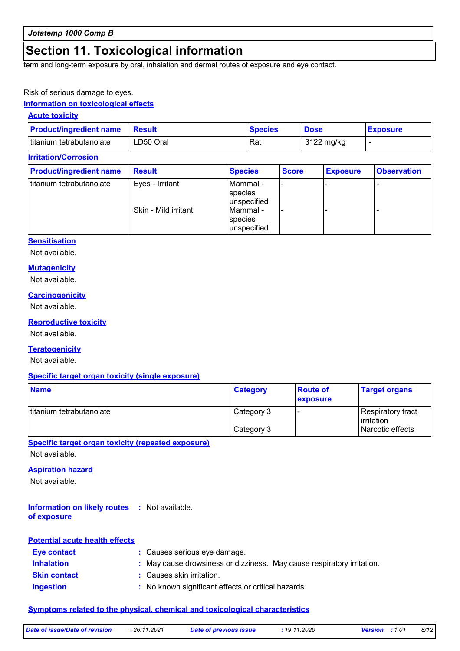### **Section 11. Toxicological information**

term and long-term exposure by oral, inhalation and dermal routes of exposure and eye contact.

#### Risk of serious damage to eyes.

#### **Information on toxicological effects**

#### **Acute toxicity**

| <b>Product/ingredient name</b> | <b>Result</b> | <b>Species</b> | <b>Dose</b> | <b>Exposure</b> |
|--------------------------------|---------------|----------------|-------------|-----------------|
| I titanium tetrabutanolate     | LD50 Oral     | Rat            | 3122 mg/kg  |                 |

#### **Irritation/Corrosion**

| <b>Product/ingredient name</b> | <b>Result</b>        | <b>Species</b>                     | <b>Score</b> | <b>Exposure</b> | <b>Observation</b> |
|--------------------------------|----------------------|------------------------------------|--------------|-----------------|--------------------|
| titanium tetrabutanolate       | Eyes - Irritant      | Mammal -<br>species<br>unspecified |              |                 |                    |
|                                | Skin - Mild irritant | Mammal -<br>species<br>unspecified |              |                 |                    |

#### **Sensitisation**

Not available.

#### **Mutagenicity**

Not available.

#### **Carcinogenicity**

Not available.

#### **Reproductive toxicity**

Not available.

#### **Teratogenicity**

Not available.

#### **Specific target organ toxicity (single exposure)**

| <b>Name</b>              | <b>Category</b> | <b>Route of</b><br>exposure | <b>Target organs</b>            |
|--------------------------|-----------------|-----------------------------|---------------------------------|
| titanium tetrabutanolate | Category 3      |                             | Respiratory tract<br>irritation |
|                          | Category 3      |                             | l Narcotic effects              |

#### **Specific target organ toxicity (repeated exposure)**

Not available.

#### **Aspiration hazard**

Not available.

#### **Information on likely routes :** Not available. **of exposure**

| <b>Potential acute health effects</b> |                                                                        |
|---------------------------------------|------------------------------------------------------------------------|
| Eye contact                           | : Causes serious eye damage.                                           |
| <b>Inhalation</b>                     | : May cause drowsiness or dizziness. May cause respiratory irritation. |
| <b>Skin contact</b>                   | : Causes skin irritation.                                              |
| <b>Ingestion</b>                      | : No known significant effects or critical hazards.                    |

#### **Symptoms related to the physical, chemical and toxicological characteristics**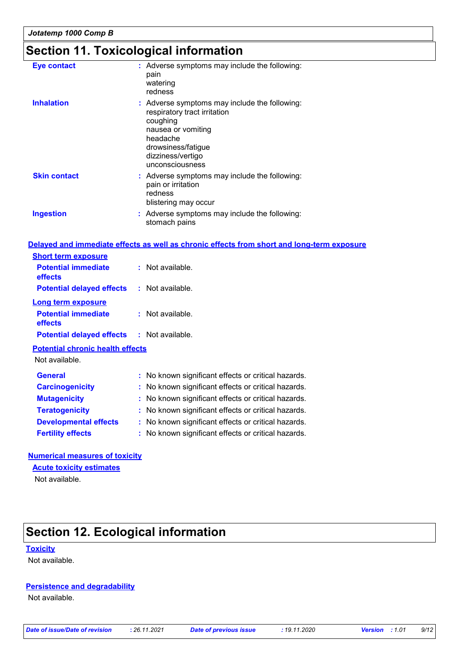## **Section 11. Toxicological information**

| <b>Eye contact</b>  | : Adverse symptoms may include the following:<br>pain<br>watering<br>redness                                                                                                              |
|---------------------|-------------------------------------------------------------------------------------------------------------------------------------------------------------------------------------------|
| <b>Inhalation</b>   | : Adverse symptoms may include the following:<br>respiratory tract irritation<br>coughing<br>nausea or vomiting<br>headache<br>drowsiness/fatigue<br>dizziness/vertigo<br>unconsciousness |
| <b>Skin contact</b> | : Adverse symptoms may include the following:<br>pain or irritation<br>redness<br>blistering may occur                                                                                    |
| <b>Ingestion</b>    | : Adverse symptoms may include the following:<br>stomach pains                                                                                                                            |

#### **Delayed and immediate effects as well as chronic effects from short and long-term exposure**

| <b>Short term exposure</b>              |                      |  |
|-----------------------------------------|----------------------|--|
| <b>Potential immediate</b><br>effects   | Not available<br>× 1 |  |
| <b>Potential delayed effects</b>        | $:$ Not available.   |  |
| Long term exposure                      |                      |  |
| <b>Potential immediate</b><br>effects   | $:$ Not available.   |  |
| <b>Potential delayed effects</b>        | $:$ Not available.   |  |
| <b>Potential chronic health effects</b> |                      |  |

Not available.

| <b>General</b>               | : No known significant effects or critical hazards. |
|------------------------------|-----------------------------------------------------|
| <b>Carcinogenicity</b>       | : No known significant effects or critical hazards. |
| <b>Mutagenicity</b>          | : No known significant effects or critical hazards. |
| <b>Teratogenicity</b>        | : No known significant effects or critical hazards. |
| <b>Developmental effects</b> | : No known significant effects or critical hazards. |
| <b>Fertility effects</b>     | : No known significant effects or critical hazards. |

#### **Numerical measures of toxicity**

#### **Acute toxicity estimates**

Not available.

## **Section 12. Ecological information**

**Toxicity**

Not available.

#### **Persistence and degradability**

Not available.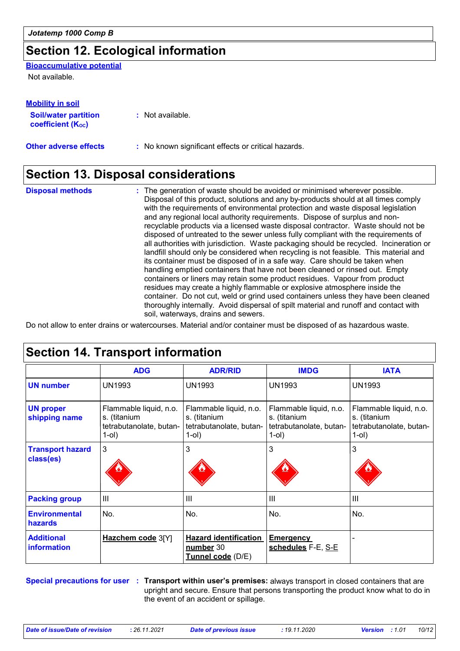## **Section 12. Ecological information**

**Bioaccumulative potential**

Not available.

| <b>Mobility in soil</b>                                 |                                                     |
|---------------------------------------------------------|-----------------------------------------------------|
| <b>Soil/water partition</b><br><b>coefficient (Koc)</b> | : Not available.                                    |
| <b>Other adverse effects</b>                            | : No known significant effects or critical hazards. |

## **Section 13. Disposal considerations**

The generation of waste should be avoided or minimised wherever possible. Disposal of this product, solutions and any by-products should at all times comply with the requirements of environmental protection and waste disposal legislation and any regional local authority requirements. Dispose of surplus and nonrecyclable products via a licensed waste disposal contractor. Waste should not be disposed of untreated to the sewer unless fully compliant with the requirements of all authorities with jurisdiction. Waste packaging should be recycled. Incineration or landfill should only be considered when recycling is not feasible. This material and its container must be disposed of in a safe way. Care should be taken when handling emptied containers that have not been cleaned or rinsed out. Empty containers or liners may retain some product residues. Vapour from product residues may create a highly flammable or explosive atmosphere inside the container. Do not cut, weld or grind used containers unless they have been cleaned thoroughly internally. Avoid dispersal of spilt material and runoff and contact with soil, waterways, drains and sewers. **Disposal methods :**

Do not allow to enter drains or watercourses. Material and/or container must be disposed of as hazardous waste.

|                                         | <b>ADG</b>                                                                    | <b>ADR/RID</b>                                                                   | <b>IMDG</b>                                                                      | <b>IATA</b>                                                                   |
|-----------------------------------------|-------------------------------------------------------------------------------|----------------------------------------------------------------------------------|----------------------------------------------------------------------------------|-------------------------------------------------------------------------------|
| <b>UN number</b>                        | <b>UN1993</b>                                                                 | <b>UN1993</b>                                                                    | <b>UN1993</b>                                                                    | <b>UN1993</b>                                                                 |
| <b>UN proper</b><br>shipping name       | Flammable liquid, n.o.<br>s. (titanium<br>tetrabutanolate, butan-<br>$1$ -ol) | Flammable liquid, n.o.<br>s. (titanium<br>tetrabutanolate, butan-<br>$1$ -ol $)$ | Flammable liquid, n.o.<br>s. (titanium<br>tetrabutanolate, butan-<br>$1$ -ol $)$ | Flammable liquid, n.o.<br>s. (titanium<br>tetrabutanolate, butan-<br>$1$ -ol) |
| <b>Transport hazard</b><br>class(es)    | 3                                                                             | 3                                                                                | 3                                                                                | 3                                                                             |
| <b>Packing group</b>                    | $\mathbf{III}$                                                                | Ш                                                                                | $\mathbf{III}$                                                                   | III                                                                           |
| <b>Environmental</b><br>hazards         | No.                                                                           | No.                                                                              | No.                                                                              | No.                                                                           |
| <b>Additional</b><br><i>information</i> | Hazchem code 3[Y]                                                             | <b>Hazard identification</b><br>number 30<br>Tunnel code (D/E)                   | <b>Emergency</b><br>schedules F-E, S-E                                           |                                                                               |

**Special precautions for user Transport within user's premises:** always transport in closed containers that are **:** upright and secure. Ensure that persons transporting the product know what to do in the event of an accident or spillage.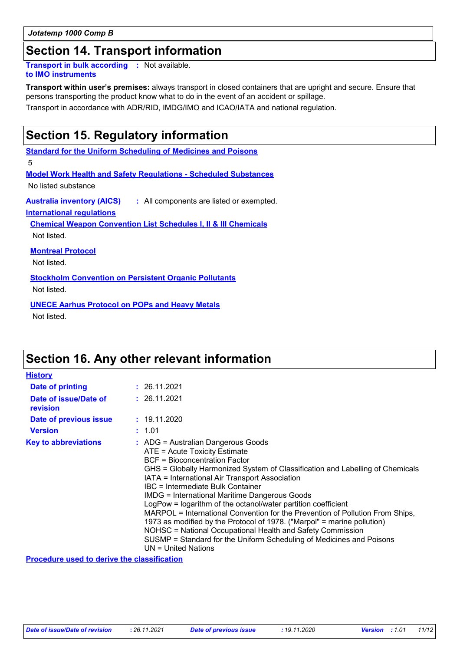#### *Jotatemp 1000 Comp B*

### **Section 14. Transport information**

**Transport in bulk according :** Not available. **to IMO instruments**

**Transport within user's premises:** always transport in closed containers that are upright and secure. Ensure that persons transporting the product know what to do in the event of an accident or spillage.

Transport in accordance with ADR/RID, IMDG/IMO and ICAO/IATA and national regulation.

### **Section 15. Regulatory information**

**Standard for the Uniform Scheduling of Medicines and Poisons**

5

**Model Work Health and Safety Regulations - Scheduled Substances**

No listed substance

**Australia inventory (AICS) :** All components are listed or exempted.

**International regulations**

**Chemical Weapon Convention List Schedules I, II & III Chemicals**

Not listed.

**Montreal Protocol**

Not listed.

**Stockholm Convention on Persistent Organic Pollutants**

Not listed.

**UNECE Aarhus Protocol on POPs and Heavy Metals**

Not listed.

### **Section 16. Any other relevant information**

| <b>History</b>                    |                                                                                                                                                                                                                                                                                                                                                                                                                                                                                                                                                                                                                                                                                                                                           |
|-----------------------------------|-------------------------------------------------------------------------------------------------------------------------------------------------------------------------------------------------------------------------------------------------------------------------------------------------------------------------------------------------------------------------------------------------------------------------------------------------------------------------------------------------------------------------------------------------------------------------------------------------------------------------------------------------------------------------------------------------------------------------------------------|
| Date of printing                  | : 26.11.2021                                                                                                                                                                                                                                                                                                                                                                                                                                                                                                                                                                                                                                                                                                                              |
| Date of issue/Date of<br>revision | : 26.11.2021                                                                                                                                                                                                                                                                                                                                                                                                                                                                                                                                                                                                                                                                                                                              |
| Date of previous issue            | : 19.11.2020                                                                                                                                                                                                                                                                                                                                                                                                                                                                                                                                                                                                                                                                                                                              |
| <b>Version</b>                    | : 1.01                                                                                                                                                                                                                                                                                                                                                                                                                                                                                                                                                                                                                                                                                                                                    |
| <b>Key to abbreviations</b>       | $:$ ADG = Australian Dangerous Goods<br>ATE = Acute Toxicity Estimate<br><b>BCF</b> = Bioconcentration Factor<br>GHS = Globally Harmonized System of Classification and Labelling of Chemicals<br>IATA = International Air Transport Association<br>IBC = Intermediate Bulk Container<br><b>IMDG = International Maritime Dangerous Goods</b><br>LogPow = logarithm of the octanol/water partition coefficient<br>MARPOL = International Convention for the Prevention of Pollution From Ships,<br>1973 as modified by the Protocol of 1978. ("Marpol" = marine pollution)<br>NOHSC = National Occupational Health and Safety Commission<br>SUSMP = Standard for the Uniform Scheduling of Medicines and Poisons<br>$UN = United Nations$ |

**Procedure used to derive the classification**